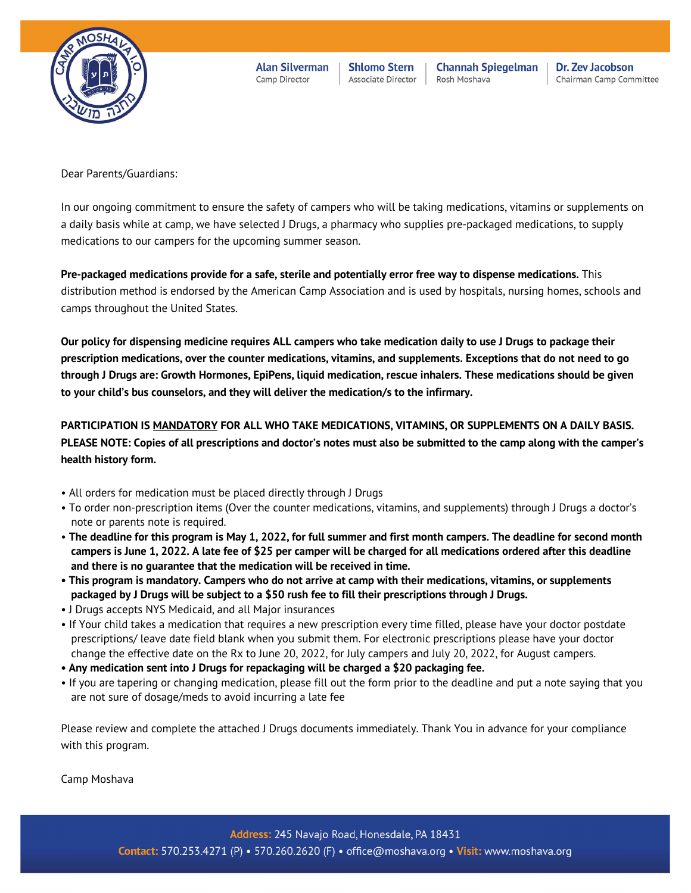

**Alan Silverman** Camp Director

**Shlomo Stern** Associate Director

**Channah Spiegelman** Rosh Moshava

Dr. Zev Jacobson Chairman Camp Committee

Dear Parents/Guardians:

In our ongoing commitment to ensure the safety of campers who will be taking medications, vitamins or supplements on a daily basis while at camp, we have selected J Drugs, a pharmacy who supplies pre-packaged medications, to supply medications to our campers for the upcoming summer season.

**Pre-packaged medications provide for a safe, sterile and potentially error free way to dispense medications.** This distribution method is endorsed by the American Camp Association and is used by hospitals, nursing homes, schools and camps throughout the United States.

**Our policy for dispensing medicine requires ALL campers who take medication daily to use J Drugs to package their prescription medications, over the counter medications, vitamins, and supplements. Exceptions that do not need to go through J Drugs are: Growth Hormones, EpiPens, liquid medication, rescue inhalers. These medications should be given to your child's bus counselors, and they will deliver the medication/s to the infirmary.**

**PARTICIPATION IS MANDATORY FOR ALL WHO TAKE MEDICATIONS, VITAMINS, OR SUPPLEMENTS ON A DAILY BASIS. PLEASE NOTE: Copies of all prescriptions and doctor's notes must also be submitted to the camp along with the camper's health history form.**

- All orders for medication must be placed directly through J Drugs
- To order non-prescription items (Over the counter medications, vitamins, and supplements) through J Drugs a doctor's note or parents note is required.
- **The deadline for this program is May 1, 2022, for full summer and first month campers. The deadline for second month campers is June 1, 2022. A late fee of \$25 per camper will be charged for all medications ordered after this deadline and there is no guarantee that the medication will be received in time.**
- **This program is mandatory. Campers who do not arrive at camp with their medications, vitamins, or supplements packaged by J Drugs will be subject to a \$50 rush fee to fill their prescriptions through J Drugs.**
- J Drugs accepts NYS Medicaid, and all Major insurances
- If Your child takes a medication that requires a new prescription every time filled, please have your doctor postdate prescriptions/ leave date field blank when you submit them. For electronic prescriptions please have your doctor change the effective date on the Rx to June 20, 2022, for July campers and July 20, 2022, for August campers.
- **Any medication sent into J Drugs for repackaging will be charged a \$20 packaging fee.**
- If you are tapering or changing medication, please fill out the form prior to the deadline and put a note saying that you are not sure of dosage/meds to avoid incurring a late fee

Please review and complete the attached J Drugs documents immediately. Thank You in advance for your compliance with this program.

Camp Moshava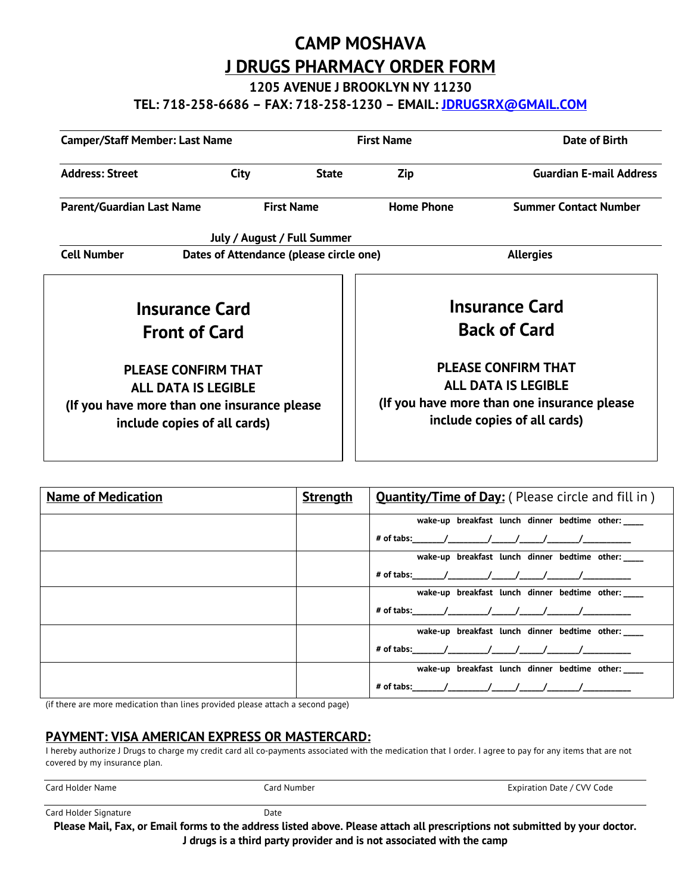## **CAMP MOSHAVA J DRUGS PHARMACY ORDER FORM**

**1205 AVENUE J BROOKLYN NY 11230**

**TEL: 718-258-6686 – FAX: 718-258-1230 – EMAIL: JDRUGSRX@GMAIL.COM**

| <b>Camper/Staff Member: Last Name</b>                                                                                                   |                             | <b>First Name</b> |                                                                                                                                         | Date of Birth                  |  |
|-----------------------------------------------------------------------------------------------------------------------------------------|-----------------------------|-------------------|-----------------------------------------------------------------------------------------------------------------------------------------|--------------------------------|--|
| <b>Address: Street</b>                                                                                                                  | <b>City</b>                 | <b>State</b>      | Zip                                                                                                                                     | <b>Guardian E-mail Address</b> |  |
| <b>Parent/Guardian Last Name</b>                                                                                                        |                             | <b>First Name</b> | <b>Home Phone</b>                                                                                                                       | <b>Summer Contact Number</b>   |  |
|                                                                                                                                         | July / August / Full Summer |                   |                                                                                                                                         |                                |  |
| <b>Cell Number</b><br>Dates of Attendance (please circle one)                                                                           |                             | <b>Allergies</b>  |                                                                                                                                         |                                |  |
| <b>Insurance Card</b><br><b>Front of Card</b>                                                                                           |                             |                   | <b>Insurance Card</b><br><b>Back of Card</b>                                                                                            |                                |  |
| <b>PLEASE CONFIRM THAT</b><br><b>ALL DATA IS LEGIBLE</b><br>(If you have more than one insurance please<br>include copies of all cards) |                             |                   | <b>PLEASE CONFIRM THAT</b><br><b>ALL DATA IS LEGIBLE</b><br>(If you have more than one insurance please<br>include copies of all cards) |                                |  |

| <b>Name of Medication</b> | <b>Strength</b> | <b>Quantity/Time of Day:</b> (Please circle and fill in) |  |  |
|---------------------------|-----------------|----------------------------------------------------------|--|--|
|                           |                 | wake-up breakfast lunch dinner bedtime other:            |  |  |
|                           |                 | # of tabs:     /     /     /     /                       |  |  |
|                           |                 | wake-up breakfast lunch dinner bedtime other:            |  |  |
|                           |                 |                                                          |  |  |
|                           |                 | wake-up breakfast lunch dinner bedtime other:            |  |  |
|                           |                 | # of tabs:      /      /    /    /    /                  |  |  |
|                           |                 | wake-up breakfast lunch dinner bedtime other:            |  |  |
|                           |                 | # of tabs:     /     /    /    /                         |  |  |
|                           |                 | wake-up breakfast lunch dinner bedtime other:            |  |  |
|                           |                 | # of tabs:      /      /    /    /    /                  |  |  |

(if there are more medication than lines provided please attach a second page)

#### **PAYMENT: VISA AMERICAN EXPRESS OR MASTERCARD:**

I hereby authorize J Drugs to charge my credit card all co-payments associated with the medication that I order. I agree to pay for any items that are not covered by my insurance plan.

| Card Holder Name | Card Number | Expiration Date / CVV Code |
|------------------|-------------|----------------------------|
|                  |             |                            |

Card Holder Signature **Date** Date

**Please Mail, Fax, or Email forms to the address listed above. Please attach all prescriptions not submitted by your doctor. J drugs is a third party provider and is not associated with the camp**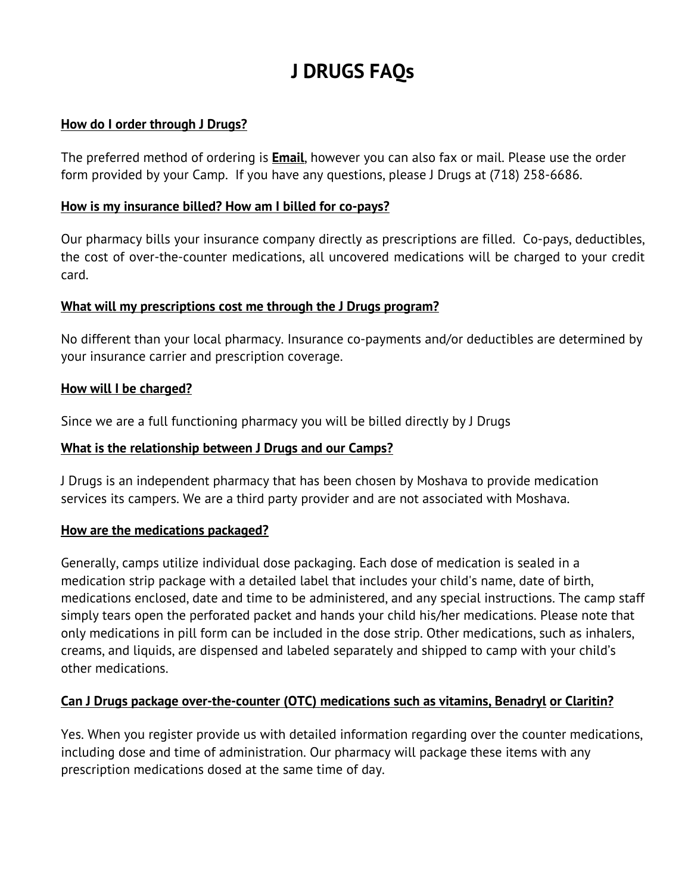# **J DRUGS FAQs**

#### **How do I order through J Drugs?**

The preferred method of ordering is **Email**, however you can also fax or mail. Please use the order form provided by your Camp. If you have any questions, please J Drugs at (718) 258-6686.

#### **How is my insurance billed? How am I billed for co-pays?**

Our pharmacy bills your insurance company directly as prescriptions are filled. Co-pays, deductibles, the cost of over-the-counter medications, all uncovered medications will be charged to your credit card.

#### **What will my prescriptions cost me through the J Drugs program?**

No different than your local pharmacy. Insurance co-payments and/or deductibles are determined by your insurance carrier and prescription coverage.

#### **How will I be charged?**

Since we are a full functioning pharmacy you will be billed directly by J Drugs

#### **What is the relationship between J Drugs and our Camps?**

J Drugs is an independent pharmacy that has been chosen by Moshava to provide medication services its campers. We are a third party provider and are not associated with Moshava.

#### **How are the medications packaged?**

Generally, camps utilize individual dose packaging. Each dose of medication is sealed in a medication strip package with a detailed label that includes your child's name, date of birth, medications enclosed, date and time to be administered, and any special instructions. The camp staff simply tears open the perforated packet and hands your child his/her medications. Please note that only medications in pill form can be included in the dose strip. Other medications, such as inhalers, creams, and liquids, are dispensed and labeled separately and shipped to camp with your child's other medications.

#### **Can J Drugs package over-the-counter (OTC) medications such as vitamins, Benadryl or Claritin?**

Yes. When you register provide us with detailed information regarding over the counter medications, including dose and time of administration. Our pharmacy will package these items with any prescription medications dosed at the same time of day.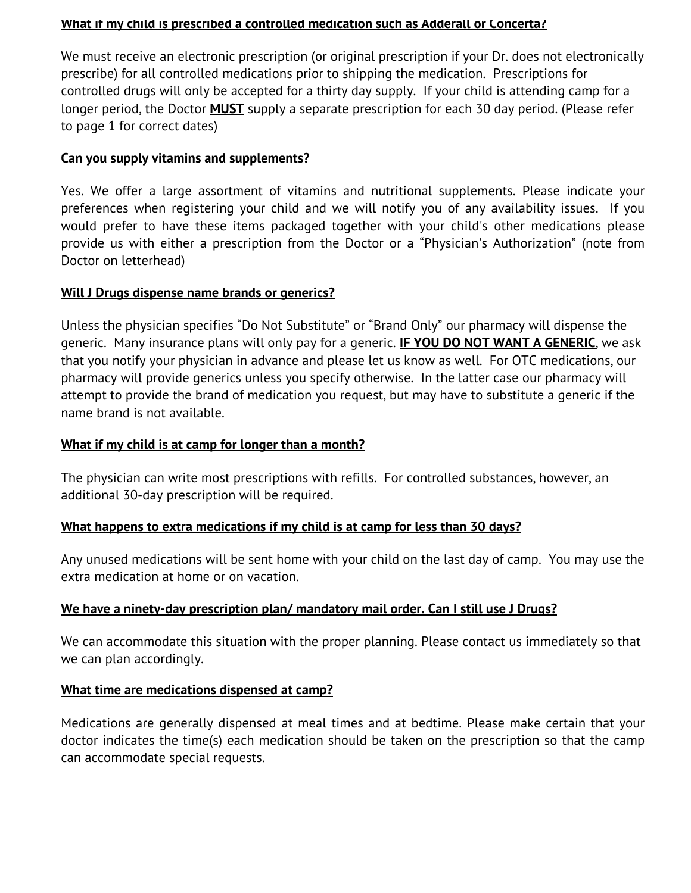#### **What if my child is prescribed a controlled medication such as Adderall or Concerta?**

We must receive an electronic prescription (or original prescription if your Dr. does not electronically prescribe) for all controlled medications prior to shipping the medication. Prescriptions for controlled drugs will only be accepted for a thirty day supply. If your child is attending camp for a longer period, the Doctor **MUST** supply a separate prescription for each 30 day period. (Please refer to page 1 for correct dates)

#### **Can you supply vitamins and supplements?**

Yes. We offer a large assortment of vitamins and nutritional supplements. Please indicate your preferences when registering your child and we will notify you of any availability issues. If you would prefer to have these items packaged together with your child's other medications please provide us with either a prescription from the Doctor or a "Physician's Authorization" (note from Doctor on letterhead)

#### **Will J Drugs dispense name brands or generics?**

Unless the physician specifies "Do Not Substitute" or "Brand Only" our pharmacy will dispense the generic. Many insurance plans will only pay for a generic. **IF YOU DO NOT WANT A GENERIC**, we ask that you notify your physician in advance and please let us know as well. For OTC medications, our pharmacy will provide generics unless you specify otherwise. In the latter case our pharmacy will attempt to provide the brand of medication you request, but may have to substitute a generic if the name brand is not available.

#### **What if my child is at camp for longer than a month?**

The physician can write most prescriptions with refills. For controlled substances, however, an additional 30-day prescription will be required.

#### **What happens to extra medications if my child is at camp for less than 30 days?**

Any unused medications will be sent home with your child on the last day of camp. You may use the extra medication at home or on vacation.

#### **We have a ninety-day prescription plan/ mandatory mail order. Can I still use J Drugs?**

We can accommodate this situation with the proper planning. Please contact us immediately so that we can plan accordingly.

#### **What time are medications dispensed at camp?**

Medications are generally dispensed at meal times and at bedtime. Please make certain that your doctor indicates the time(s) each medication should be taken on the prescription so that the camp can accommodate special requests.